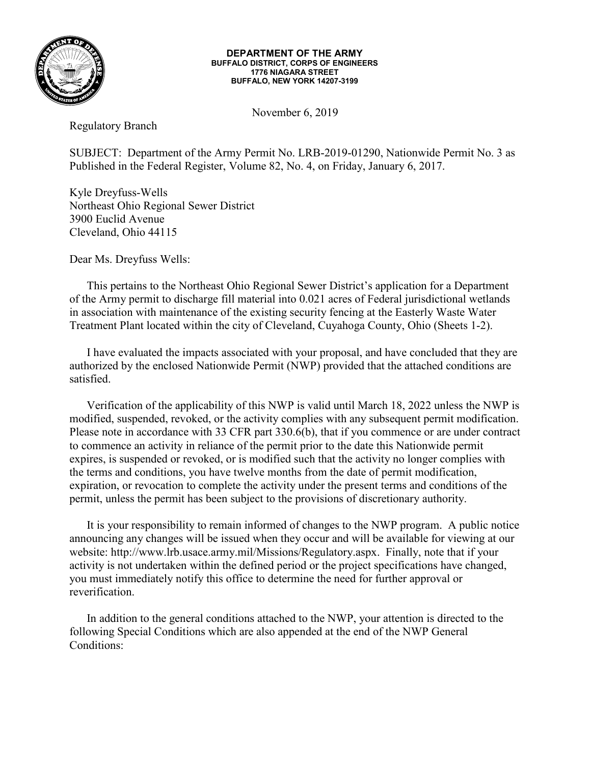

#### **DEPARTMENT OF THE ARMY BUFFALO DISTRICT, CORPS OF ENGINEERS 1776 NIAGARA STREET BUFFALO, NEW YORK 14207-3199**

November 6, 2019

Regulatory Branch

SUBJECT: Department of the Army Permit No. LRB-2019-01290, Nationwide Permit No. 3 as Published in the Federal Register, Volume 82, No. 4, on Friday, January 6, 2017.

Kyle Dreyfuss-Wells Northeast Ohio Regional Sewer District 3900 Euclid Avenue Cleveland, Ohio 44115

Dear Ms. Dreyfuss Wells:

This pertains to the Northeast Ohio Regional Sewer District's application for a Department of the Army permit to discharge fill material into 0.021 acres of Federal jurisdictional wetlands in association with maintenance of the existing security fencing at the Easterly Waste Water Treatment Plant located within the city of Cleveland, Cuyahoga County, Ohio (Sheets 1-2).

I have evaluated the impacts associated with your proposal, and have concluded that they are authorized by the enclosed Nationwide Permit (NWP) provided that the attached conditions are satisfied.

Verification of the applicability of this NWP is valid until March 18, 2022 unless the NWP is modified, suspended, revoked, or the activity complies with any subsequent permit modification. Please note in accordance with 33 CFR part 330.6(b), that if you commence or are under contract to commence an activity in reliance of the permit prior to the date this Nationwide permit expires, is suspended or revoked, or is modified such that the activity no longer complies with the terms and conditions, you have twelve months from the date of permit modification, expiration, or revocation to complete the activity under the present terms and conditions of the permit, unless the permit has been subject to the provisions of discretionary authority.

It is your responsibility to remain informed of changes to the NWP program. A public notice announcing any changes will be issued when they occur and will be available for viewing at our website: http://www.lrb.usace.army.mil/Missions/Regulatory.aspx. Finally, note that if your activity is not undertaken within the defined period or the project specifications have changed, you must immediately notify this office to determine the need for further approval or reverification.

In addition to the general conditions attached to the NWP, your attention is directed to the following Special Conditions which are also appended at the end of the NWP General Conditions: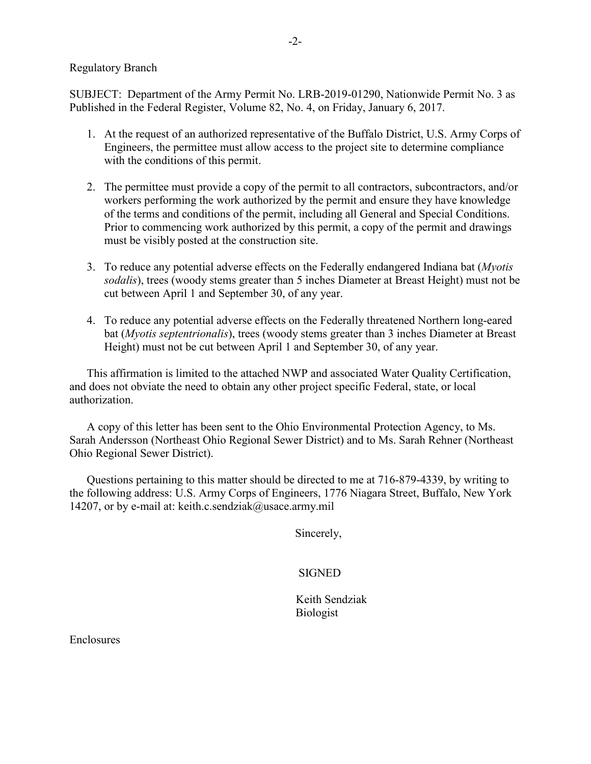### Regulatory Branch

SUBJECT: Department of the Army Permit No. LRB-2019-01290, Nationwide Permit No. 3 as Published in the Federal Register, Volume 82, No. 4, on Friday, January 6, 2017.

- 1. At the request of an authorized representative of the Buffalo District, U.S. Army Corps of Engineers, the permittee must allow access to the project site to determine compliance with the conditions of this permit.
- 2. The permittee must provide a copy of the permit to all contractors, subcontractors, and/or workers performing the work authorized by the permit and ensure they have knowledge of the terms and conditions of the permit, including all General and Special Conditions. Prior to commencing work authorized by this permit, a copy of the permit and drawings must be visibly posted at the construction site.
- 3. To reduce any potential adverse effects on the Federally endangered Indiana bat (*Myotis sodalis*), trees (woody stems greater than 5 inches Diameter at Breast Height) must not be cut between April 1 and September 30, of any year.
- 4. To reduce any potential adverse effects on the Federally threatened Northern long-eared bat (*Myotis septentrionalis*), trees (woody stems greater than 3 inches Diameter at Breast Height) must not be cut between April 1 and September 30, of any year.

This affirmation is limited to the attached NWP and associated Water Quality Certification, and does not obviate the need to obtain any other project specific Federal, state, or local authorization.

A copy of this letter has been sent to the Ohio Environmental Protection Agency, to Ms. Sarah Andersson (Northeast Ohio Regional Sewer District) and to Ms. Sarah Rehner (Northeast Ohio Regional Sewer District).

Questions pertaining to this matter should be directed to me at 716-879-4339, by writing to the following address: U.S. Army Corps of Engineers, 1776 Niagara Street, Buffalo, New York 14207, or by e-mail at: keith.c.sendziak@usace.army.mil

Sincerely,

## **SIGNED**

 Keith Sendziak Biologist

Enclosures